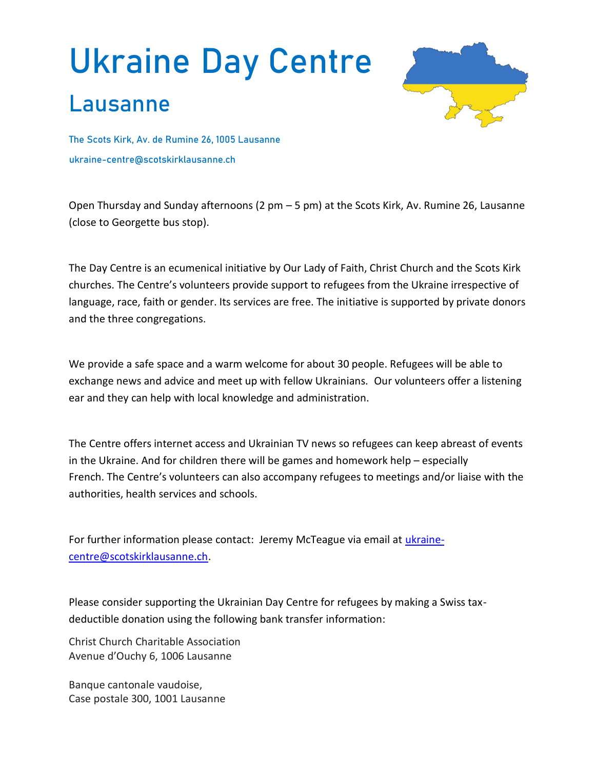## **Ukraine Day Centre**

## **Lausanne**



**The Scots Kirk, Av. de Rumine 26, 1005 Lausanne ukraine-centre@scotskirklausanne.ch**

Open Thursday and Sunday afternoons (2 pm – 5 pm) at the Scots Kirk, Av. Rumine 26, Lausanne (close to Georgette bus stop).

The Day Centre is an ecumenical initiative by Our Lady of Faith, Christ Church and the Scots Kirk churches. The Centre's volunteers provide support to refugees from the Ukraine irrespective of language, race, faith or gender. Its services are free. The initiative is supported by private donors and the three congregations.

We provide a safe space and a warm welcome for about 30 people. Refugees will be able to exchange news and advice and meet up with fellow Ukrainians. Our volunteers offer a listening ear and they can help with local knowledge and administration.

The Centre offers internet access and Ukrainian TV news so refugees can keep abreast of events in the Ukraine. And for children there will be games and homework help – especially French. The Centre's volunteers can also accompany refugees to meetings and/or liaise with the authorities, health services and schools.

For further information please contact: Jeremy McTeague via email at [ukraine](mailto:ukraine-centre@scotskirklausanne.ch)[centre@scotskirklausanne.ch.](mailto:ukraine-centre@scotskirklausanne.ch)

Please consider supporting the Ukrainian Day Centre for refugees by making a Swiss taxdeductible donation using the following bank transfer information:

Christ Church Charitable Association Avenue d'Ouchy 6, 1006 Lausanne

Banque cantonale vaudoise, Case postale 300, 1001 Lausanne